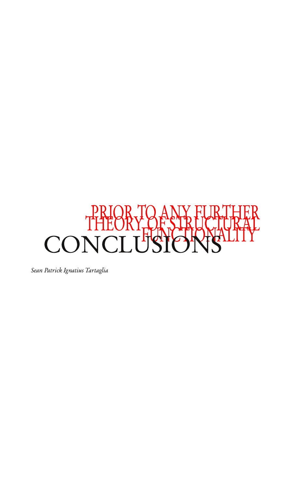

Sean Patrick Ignatius Tartaglia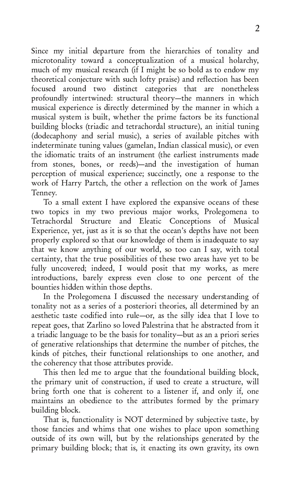Since my initial departure from the hierarchies of tonality and microtonality toward a conceptualization of a musical holarchy, much of my musical research (if I might be so bold as to endow my theoretical conjecture with such lofty praise) and reflection has been focused around two distinct categories that are nonetheless profoundly intertwined: structural theory-the manners in which musical experience is directly determined by the manner in which a musical system is built, whether the prime factors be its functional building blocks (triadic and tetrachordal structure), an initial tuning (dodecaphony and serial music), a series of available pitches with indeterminate tuning values (gamelan, Indian classical music), or even the idiomatic traits of an instrument (the earliest instruments made from stones, bones, or reeds)—and the investigation of human perception of musical experience; succinctly, one a response to the work of Harry Partch, the other a reflection on the work of James Tenney.

To a small extent I have explored the expansive oceans of these two topics in my two previous major works, Prolegomena to<br>Tetrachordal Structure and Eleatic Conceptions of Musical Structure and Eleatic Conceptions of Experience, yet, just as it is so that the ocean's depths have not been properly explored so that our knowledge of them is inadequate to say that we know anything of our world, so too can I say, with total certainty, that the true possibilities of these two areas have yet to be fully uncovered; indeed, I would posit that my works, as mere introductions, barely express even close to one percent of the bounties hidden within those depths.

In the Prolegomena I discussed the necessary understanding of tonality not as a series of a posteriori theories, all determined by an aesthetic taste codified into rule—or, as the silly idea that I love to repeat goes, that Zarlino so loved Palestrina that he abstracted from it a triadic language to be the basis for tonality—but as an a priori series of generative relationships that determine the number of pitches, the kinds of pitches, their functional relationships to one another, and the coherency that those attributes provide.

This then led me to argue that the foundational building block, the primary unit of construction, if used to create a structure, will bring forth one that is coherent to a listener if, and only if, one maintains an obedience to the attributes formed by the primary building block.

That is, functionality is NOT determined by subjective taste, by those fancies and whims that one wishes to place upon something outside of its own will, but by the relationships generated by the primary building block; that is, it enacting its own gravity, its own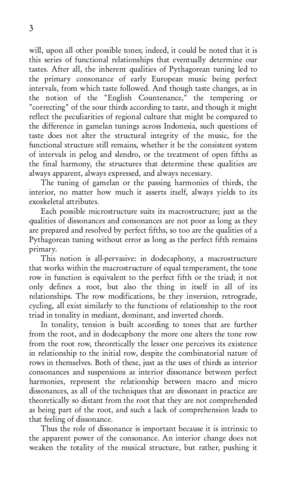will, upon all other possible tones; indeed, it could be noted that it is this series of functional relationships that eventually determine our tastes. After all, the inherent qualities of Pythagorean tuning led to the primary consonance of early European music being perfect intervals, from which taste followed. And though taste changes, as in the notion of the "English Countenance," the tempering or "correcting" of the sour thirds according to taste, and though it might reflect the peculiarities of regional culture that might be compared to the difference in gamelan tunings across Indonesia, such questions of taste does not alter the structural integrity of the music, for the functional structure still remains, whether it be the consistent system of intervals in pelog and slendro, or the treatment of open fifths as the final harmony, the structures that determine these qualities are always apparent, always expressed, and always necessary.

The tuning of gamelan or the passing harmonies of thirds, the interior, no matter how much it asserts itself, always yields to its exoskeletal attributes.

Each possible microstructure suits its macrostructure; just as the qualities of dissonances and consonances are not poor as long as they are prepared and resolved by perfect fifths, so too are the qualities of a Pythagorean tuning without error as long as the perfect fifth remains primary.

This notion is all-pervasive: in dodecaphony, a macrostructure that works within the macrostructure of equal temperament, the tone row in function is equivalent to the perfect fifth or the triad; it not only defines a root, but also the thing in itself in all of its relationships. The row modifications, be they inversion, retrograde, cycling, all exist similarly to the functions of relationship to the root triad in tonality in mediant, dominant, and inverted chords.

In tonality, tension is built according to tones that are further from the root, and in dodecaphony the more one alters the tone row from the root row, theoretically the lesser one perceives its existence in relationship to the initial row, despite the combinatorial nature of rows in themselves. Both of these, just as the uses of thirds as interior consonances and suspensions as interior dissonance between perfect harmonies, represent the relationship between macro and micro dissonances, as all of the techniques that are dissonant in practice are theoretically so distant from the root that they are not comprehended as being part of the root, and such a lack of comprehension leads to that feeling of dissonance.

Thus the role of dissonance is important because it is intrinsic to the apparent power of the consonance. An interior change does not weaken the totality of the musical structure, but rather, pushing it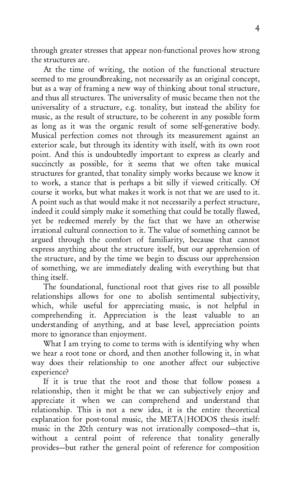through greater stresses that appear non-functional proves how strong the structures are.

At the time of writing, the notion of the functional structure seemed to me groundbreaking, not necessarily as an original concept, but as a way of framing a new way of thinking about tonal structure, and thus all structures. The universality of music became then not the universality of a structure, e.g. tonality, but instead the ability for music, as the result of structure, to be coherent in any possible form as long as it was the organic result of some self-generative body. Musical perfection comes not through its measurement against an exterior scale, but through its identity with itself, with its own root point. And this is undoubtedly important to express as clearly and succinctly as possible, for it seems that we often take musical structures for granted, that tonality simply works because we know it to work, a stance that is perhaps a bit silly if viewed critically. Of course it works, but what makes it work is not that we are used to it. A point such as that would make it not necessarily a perfect structure, indeed it could simply make it something that could be totally flawed, vet be redeemed merely by the fact that we have an otherwise irrational cultural connection to it. The value of something cannot be argued through the comfort of familiarity, because that cannot express anything about the structure itself, but our apprehension of the structure, and by the time we begin to discuss our apprehension of something, we are immediately dealing with everything but that thing itself.

The foundational, functional root that gives rise to all possible relationships allows for one to abolish sentimental subjectivity, which, while useful for appreciating music, is not helpful in comprehending it. Appreciation is the least valuable to an understanding of anything, and at base level, appreciation points more to ignorance than enjoyment.

What I am trying to come to terms with is identifying why when we hear a root tone or chord, and then another following it, in what way does their relationship to one another affect our subjective experience?

If it is true that the root and those that follow possess a relationship, then it might be that we can subjectively enjoy and appreciate it when we can comprehend and understand that relationship. This is not a new idea, it is the entire theoretical explanation for post-tonal music, the META HODOS thesis itself: music in the 20th century was not irrationally composed—that is, without a central point of reference that tonality generally provides—but rather the general point of reference for composition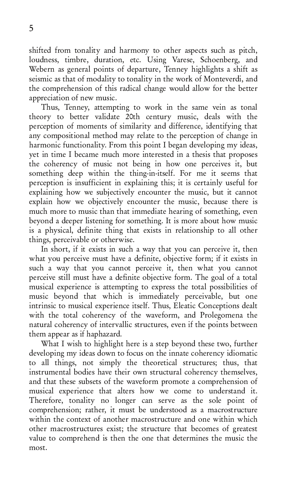shifted from tonality and harmony to other aspects such as pitch, loudness, timbre, duration, etc. Using Varese, Schoenberg, and Webern as general points of departure, Tenney highlights a shift as seismic as that of modality to tonality in the work of Monteverdi, and the comprehension of this radical change would allow for the better appreciation of new music.

Thus, Tenney, attempting to work in the same vein as tonal theory to better validate 20th century music, deals with the perception of moments of similarity and difference, identifying that any compositional method may relate to the perception of change in harmonic functionality. From this point I began developing my ideas, yet in time I became much more interested in a thesis that proposes the coherency of music not being in how one perceives it, but something deep within the thing-in-itself. For me it seems that perception is insufficient in explaining this; it is certainly useful for explaining how we subjectively encounter the music, but it cannot explain how we objectively encounter the music, because there is much more to music than that immediate hearing of something, even beyond a deeper listening for something. It is more about how music is a physical, definite thing that exists in relationship to all other things, perceivable or otherwise.

In short, if it exists in such a way that you can perceive it, then what you perceive must have a definite, objective form; if it exists in such a way that you cannot perceive it, then what you cannot perceive still must have a definite objective form. The goal of a total musical experience is attempting to express the total possibilities of music beyond that which is immediately perceivable, but one intrinsic to musical experience itself. Thus, Eleatic Conceptions dealt with the total coherency of the waveform, and Prolegomena the natural coherency of intervallic structures, even if the points between them appear as if haphazard.

What I wish to highlight here is a step beyond these two, further developing my ideas down to focus on the innate coherency idiomatic to all things, not simply the theoretical structures; thus, that instrumental bodies have their own structural coherency themselves, and that these subsets of the waveform promote a comprehension of musical experience that alters how we come to understand it. Therefore, tonality no longer can serve as the sole point of comprehension; rather, it must be understood as a macrostructure within the context of another macrostructure and one within which other macrostructures exist; the structure that becomes of greatest value to comprehend is then the one that determines the music the  $most$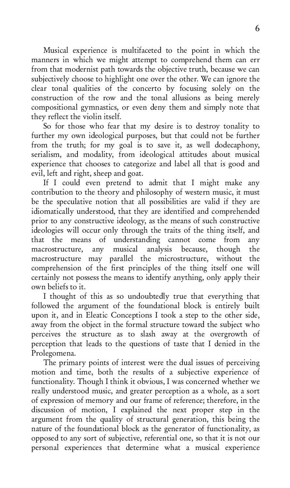Musical experience is multifaceted to the point in which the manners in which we might attempt to comprehend them can err from that modernist path towards the objective truth, because we can subjectively choose to highlight one over the other. We can ignore the clear tonal qualities of the concerto by focusing solely on the construction of the row and the tonal allusions as being merely compositional gymnastics, or even deny them and simply note that they reflect the violin itself.

So for those who fear that my desire is to destroy tonality to further my own ideological purposes, but that could not be further from the truth; for my goal is to save it, as well dodecaphony, serialism, and modality, from ideological attitudes about musical experience that chooses to categorize and label all that is good and evil, left and right, sheep and goat.

If I could even pretend to admit that I might make any contribution to the theory and philosophy of western music, it must be the speculative notion that all possibilities are valid if they are idiomatically understood, that they are identified and comprehended prior to any constructive ideology, as the means of such constructive ideologies will occur only through the traits of the thing itself, and that the means of understanding cannot come from any macrostructure, any musical analysis because, though the macrostructure, any musical analysis because, though the macrostructure may parallel the microstructure, without the comprehension of the first principles of the thing itself one will certainly not possess the means to identify anything, only apply their own beliefs to it.

I thought of this as so undoubtedly true that everything that followed the argument of the foundational block is entirely built upon it, and in Eleatic Conceptions I took a step to the other side, away from the object in the formal structure toward the subject who perceives the structure as to slash away at the overgrowth of perception that leads to the questions of taste that I denied in the Prolegomena.

The primary points of interest were the dual issues of perceiving motion and time, both the results of a subjective experience of functionality. Though I think it obvious, I was concerned whether we really understood music, and greater perception as a whole, as a sort of expression of memory and our frame of reference; therefore, in the discussion of motion, I explained the next proper step in the argument from the quality of structural generation, this being the nature of the foundational block as the generator of functionality, as opposed to any sort of subjective, referential one, so that it is not our personal experiences that determine what a musical experience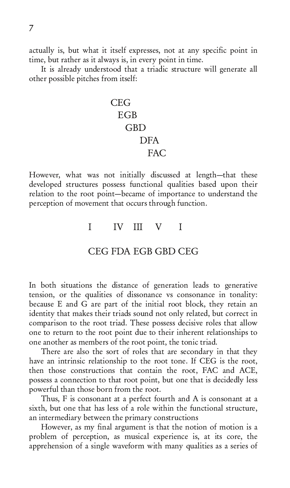actually is, but what it itself expresses, not at any specific point in time, but rather as it always is, in every point in time.

It is already understood that a triadic structure will generate all other possible pitches from itself:

# **CEG EGB GBD DFA FAC**

However, what was not initially discussed at length-that these developed structures possess functional qualities based upon their relation to the root point-became of importance to understand the perception of movement that occurs through function.

## $\begin{array}{ccc} \text{I} & \text{IV} & \text{III} & \text{V} & \text{I} \end{array}$

## CEG FDA EGB GBD CEG

In both situations the distance of generation leads to generative tension, or the qualities of dissonance vs consonance in tonality: because E and G are part of the initial root block, they retain an identity that makes their triads sound not only related, but correct in comparison to the root triad. These possess decisive roles that allow one to return to the root point due to their inherent relationships to one another as members of the root point, the tonic triad.

There are also the sort of roles that are secondary in that they have an intrinsic relationship to the root tone. If CEG is the root, then those constructions that contain the root, FAC and ACE, possess a connection to that root point, but one that is decidedly less powerful than those born from the root.

Thus, F is consonant at a perfect fourth and A is consonant at a sixth, but one that has less of a role within the functional structure, an intermediary between the primary constructions

However, as my final argument is that the notion of motion is a problem of perception, as musical experience is, at its core, the apprehension of a single waveform with many qualities as a series of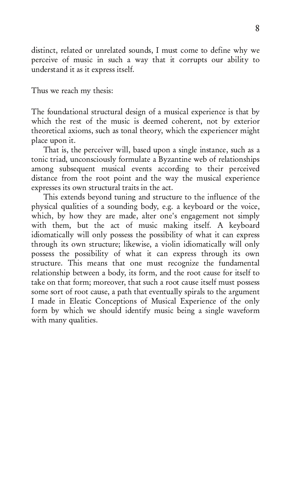distinct, related or unrelated sounds, I must come to define why we perceive of music in such a way that it corrupts our ability to understand it as it express itself.

Thus we reach my thesis:

The foundational structural design of a musical experience is that by which the rest of the music is deemed coherent, not by exterior theoretical axioms, such as tonal theory, which the experiencer might place upon it.

That is, the perceiver will, based upon a single instance, such as a tonic triad, unconsciously formulate a Byzantine web of relationships among subsequent musical events according to their perceived distance from the root point and the way the musical experience expresses its own structural traits in the act.

This extends beyond tuning and structure to the influence of the physical qualities of a sounding body, e.g. a keyboard or the voice, which, by how they are made, alter one's engagement not simply with them, but the act of music making itself. A keyboard idiomatically will only possess the possibility of what it can express through its own structure; likewise, a violin idiomatically will only possess the possibility of what it can express through its own structure. This means that one must recognize the fundamental relationship between a body, its form, and the root cause for itself to take on that form; moreover, that such a root cause itself must possess some sort of root cause, a path that eventually spirals to the argument I made in Eleatic Conceptions of Musical Experience of the only form by which we should identify music being a single waveform with many qualities.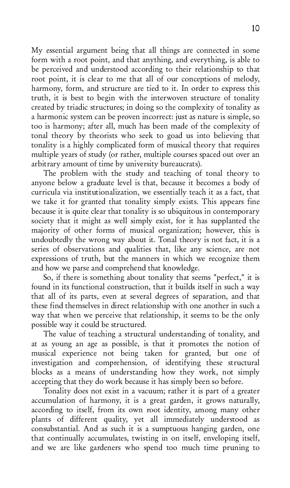My essential argument being that all things are connected in some form with a root point, and that anything, and everything, is able to be perceived and understood according to their relationship to that root point, it is clear to me that all of our conceptions of melody, harmony, form, and structure are tied to it. In order to express this truth, it is best to begin with the interwoven structure of tonality created by triadic structures; in doing so the complexity of tonality as a harmonic system can be proven incorrect: just as nature is simple, so too is harmony; after all, much has been made of the complexity of tonal theory by theorists who seek to goad us into believing that tonality is a highly complicated form of musical theory that requires multiple years of study (or rather, multiple courses spaced out over an arbitrary amount of time by university bureaucrats).

The problem with the study and teaching of tonal theory to anyone below a graduate level is that, because it becomes a body of curricula via institutionalization, we essentially teach it as a fact, that we take it for granted that tonality simply exists. This appears fine because it is quite clear that tonality is so ubiquitous in contemporary society that it might as well simply exist, for it has supplanted the majority of other forms of musical organization; however, this is undoubtedly the wrong way about it. Tonal theory is not fact, it is a series of observations and qualities that, like any science, are not expressions of truth, but the manners in which we recognize them and how we parse and comprehend that knowledge.

So, if there is something about tonality that seems "perfect," it is found in its functional construction, that it builds itself in such a way that all of its parts, even at several degrees of separation, and that these find themselves in direct relationship with one another in such a way that when we perceive that relationship, it seems to be the only possible way it could be structured.

The value of teaching a structural understanding of tonality, and at as young an age as possible, is that it promotes the notion of musical experience not being taken for granted, but one of investigation and comprehension, of identifying these structural blocks as a means of understanding how they work, not simply accepting that they do work because it has simply been so before.

Tonality does not exist in a vacuum; rather it is part of a greater accumulation of harmony, it is a great garden, it grows naturally, according to itself, from its own root identity, among many other plants of different quality, yet all immediately understood as consubstantial. And as such it is a sumptuous hanging garden, one that continually accumulates, twisting in on itself, enveloping itself, and we are like gardeners who spend too much time pruning to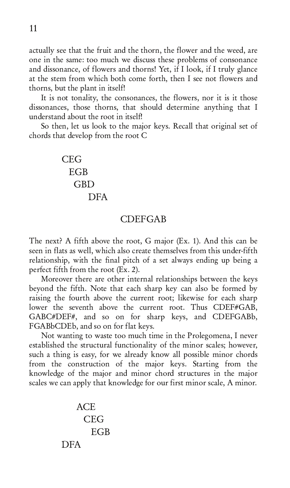actually see that the fruit and the thorn, the flower and the weed, are one in the same: too much we discuss these problems of consonance and dissonance, of flowers and thorns! Yet, if I look, if I truly glance at the stem from which both come forth, then I see not flowers and thorns, but the plant in itself!

It is not tonality, the consonances, the flowers, nor it is it those dissonances, those thorns, that should determine anything that I understand about the root in itself!

So then, let us look to the major keys. Recall that original set of chords that develop from the root C

> **CEG EGB** GBD **DFA**

### **CDEFGAB**

The next? A fifth above the root, G major (Ex. 1). And this can be seen in flats as well, which also create themselves from this under-fifth relationship, with the final pitch of a set always ending up being a perfect fifth from the root  $(Ex, 2)$ .

Moreover there are other internal relationships between the keys beyond the fifth. Note that each sharp key can also be formed by raising the fourth above the current root; likewise for each sharp lower the seventh above the current root. Thus  $\text{CDEF} \# \text{GAB}$ , GABC#DEF#, and so on for sharp keys, and CDEFGABb, FGABbCDEb, and so on for flat keys.

Not wanting to waste too much time in the Prolegomena, I never established the structural functionality of the minor scales; however, such a thing is easy, for we already know all possible minor chords from the construction of the major keys. Starting from the knowledge of the major and minor chord structures in the major scales we can apply that knowledge for our first minor scale, A minor.

$$
\begin{array}{c}\n\text{ACE} \\
\text{CEG} \\
\text{EGB} \\
\text{DFA}\n\end{array}
$$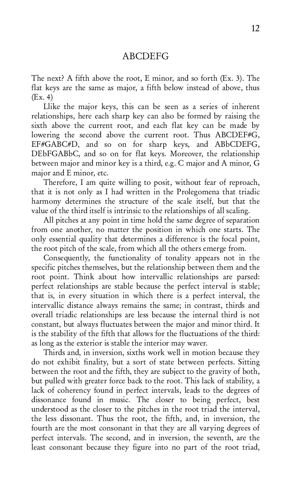### **ABCDEFG**

The next? A fifth above the root, E minor, and so forth  $(Ex. 3)$ . The flat keys are the same as major, a fifth below instead of above, thus  $(Ex. 4)$ 

Llike the major keys, this can be seen as a series of inherent relationships, here each sharp key can also be formed by raising the sixth above the current root, and each flat key can be made by lowering the second above the current root. Thus  $\mathrm{ABCDEF} \# \mathrm{G}_2$ EF#GABC#D, and so on for sharp keys, and ABbCDEFG, DEbFGABbC, and so on for flat keys. Moreover, the relationship between major and minor key is a third, e.g. C major and A minor, G major and E minor, etc.

Therefore, I am quite willing to posit, without fear of reproach, that it is not only as I had written in the Prolegomena that triadic harmony determines the structure of the scale itself, but that the value of the third itself is intrinsic to the relationships of all scaling.

All pitches at any point in time hold the same degree of separation from one another, no matter the position in which one starts. The only essential quality that determines a difference is the focal point, the root pitch of the scale, from which all the others emerge from.

Consequently, the functionality of tonality appears not in the specific pitches themselves, but the relationship between them and the root point. Think about how intervallic relationships are parsed: perfect relationships are stable because the perfect interval is stable; that is, in every situation in which there is a perfect interval, the intervallic distance always remains the same; in contrast, thirds and overall triadic relationships are less because the internal third is not constant, but always fluctuates between the major and minor third. It is the stability of the fifth that allows for the fluctuations of the third: as long as the exterior is stable the interior may waver.

Thirds and, in inversion, sixths work well in motion because they do not exhibit finality, but a sort of state between perfects. Sitting between the root and the fifth, they are subject to the gravity of both, but pulled with greater force back to the root. This lack of stability, a lack of coherency found in perfect intervals, leads to the degrees of dissonance found in music. The closer to being perfect, best understood as the closer to the pitches in the root triad the interval, the less dissonant. Thus the root, the fifth, and, in inversion, the fourth are the most consonant in that they are all varying degrees of perfect intervals. The second, and in inversion, the seventh, are the least consonant because they figure into no part of the root triad,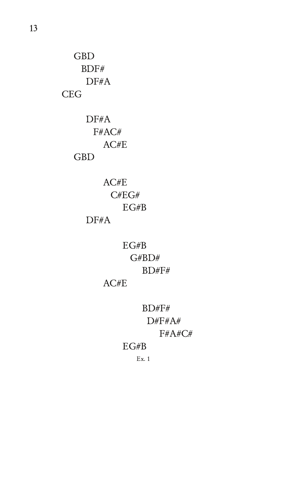**GBD** BDF# DF#A **CEG** 

> $DF#A$ F#AC#  $AC#E$ **GBD**

> > $AC#E$  $C#EG#$  $EG#B$  $DF#A$

> > > $EG#B$  $G\#BD\#$  $BD#F#$

 $AC#E$ 

 $\mathrm{BD} \# \mathrm{F} \#$  $D#F#A#$ F#A#C#

 $EG#B$ 

 $Ex. 1$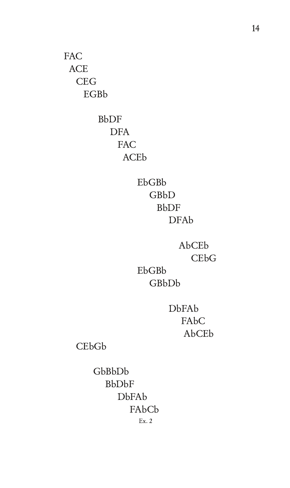**FAC ACE CEG EGBb** 

> **BbDF DFA** FAC **ACEb**

> > EbGBb GBbD **BbDF DFAb**

AbCEb CE<sub>b</sub>G EbGBb

GBbDb

**DbFAb** FAbC AbCEb

CEbGb

GbBbDb **BbDbF** DbFAb FAbCb  $Ex. 2$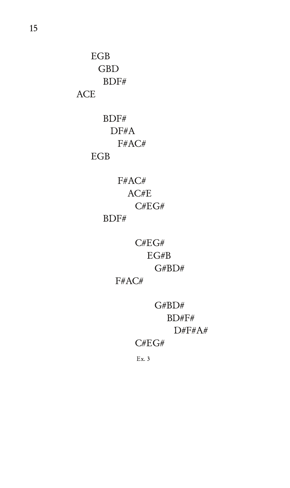$EGB$ **GBD**  $BDF#$ **ACE** 

> $BDF#$  $DF#A$ F#AC# **EGB**

> > F#AC#  $AC/E$  $C\# EG\#$

## $BDF#$

 $C#EG#$  $EG#B$  $G#BD#$ 

F#AC#

 $G#BD#$  $BD#F#$  $D#F#A#$  $C#EG#$ 

 $Ex.3$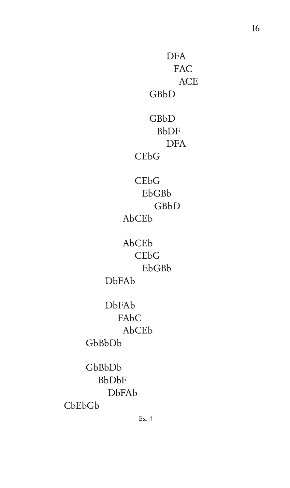**DFA** FAC **ACE** GBbD  $GBD$ **BbDF DFA CEbG**  $CEbG$ EbGBb GBbD AbCEb AbCEb **CEbG** EbGBb **DbFAb DbFAb** FAbC AbCEb GbBbDb GbBbDb **BbDbF DbFAb** 

16

 $CbEbGb$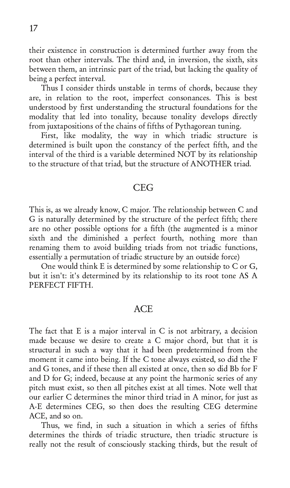their existence in construction is determined further away from the root than other intervals. The third and, in inversion, the sixth, sits between them, an intrinsic part of the triad, but lacking the quality of being a perfect interval.

Thus I consider thirds unstable in terms of chords, because they are, in relation to the root, imperfect consonances. This is best understood by first understanding the structural foundations for the modality that led into tonality, because tonality develops directly from juxtapositions of the chains of fifths of Pythagorean tuning.

First, like modality, the way in which triadic structure is determined is built upon the constancy of the perfect fifth, and the interval of the third is a variable determined NOT by its relationship to the structure of that triad, but the structure of ANOTHER triad.

#### **CEG**

This is, as we already know, C major. The relationship between C and G is naturally determined by the structure of the perfect fifth; there are no other possible options for a fifth (the augmented is a minor sixth and the diminished a perfect fourth, nothing more than renaming them to avoid building triads from not triadic functions, essentially a permutation of triadic structure by an outside force)

One would think E is determined by some relationship to C or G, but it isn't: it's determined by its relationship to its root tone AS A PERFECT FIFTH.

#### **ACE**

The fact that  $E$  is a major interval in  $C$  is not arbitrary, a decision made because we desire to create a C major chord, but that it is structural in such a way that it had been predetermined from the moment it came into being. If the C tone always existed, so did the F and G tones, and if these then all existed at once, then so did Bb for F and  $D$  for  $G$ ; indeed, because at any point the harmonic series of any pitch must exist, so then all pitches exist at all times. Note well that our earlier C determines the minor third triad in A minor, for just as A-E determines CEG, so then does the resulting CEG determine ACE, and so on.

Thus, we find, in such a situation in which a series of fifths determines the thirds of triadic structure, then triadic structure is really not the result of consciously stacking thirds, but the result of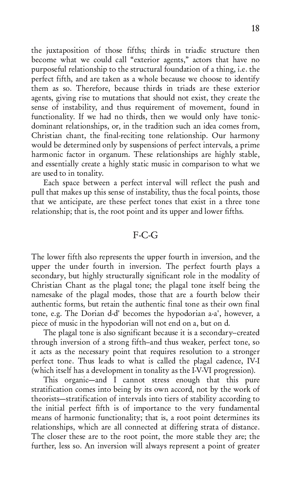the juxtaposition of those fifths; thirds in triadic structure then become what we could call "exterior agents," actors that have no purposeful relationship to the structural foundation of a thing, i.e. the perfect fifth, and are taken as a whole because we choose to identify them as so. Therefore, because thirds in triads are these exterior agents, giving rise to mutations that should not exist, they create the sense of instability, and thus requirement of movement, found in functionality. If we had no thirds, then we would only have tonicdominant relationships, or, in the tradition such an idea comes from, Christian chant, the final-reciting tone relationship. Our harmony would be determined only by suspensions of perfect intervals, a prime harmonic factor in organum. These relationships are highly stable, and essentially create a highly static music in comparison to what we are used to in tonality.

Each space between a perfect interval will reflect the push and pull that makes up this sense of instability, thus the focal points, those that we anticipate, are these perfect tones that exist in a three tone relationship; that is, the root point and its upper and lower fifths.

### $F-C-G$

The lower fifth also represents the upper fourth in inversion, and the upper the under fourth in inversion. The perfect fourth plays a secondary, but highly structurally significant role in the modality of Christian Chant as the plagal tone; the plagal tone itself being the namesake of the plagal modes, those that are a fourth below their authentic forms, but retain the authentic final tone as their own final tone, e.g. The Dorian d-d' becomes the hypodorian a-a', however, a piece of music in the hypodorian will not end on a, but on d.

The plagal tone is also significant because it is a secondary-created through inversion of a strong fifth-and thus weaker, perfect tone, so it acts as the necessary point that requires resolution to a stronger perfect tone. Thus leads to what is called the plagal cadence, IV-I (which itself has a development in tonality as the I-V-VI progression).

This organic—and I cannot stress enough that this pure stratification comes into being by its own accord, not by the work of theorists-stratification of intervals into tiers of stability according to the initial perfect fifth is of importance to the very fundamental means of harmonic functionality; that is, a root point determines its relationships, which are all connected at differing strata of distance. The closer these are to the root point, the more stable they are; the further, less so. An inversion will always represent a point of greater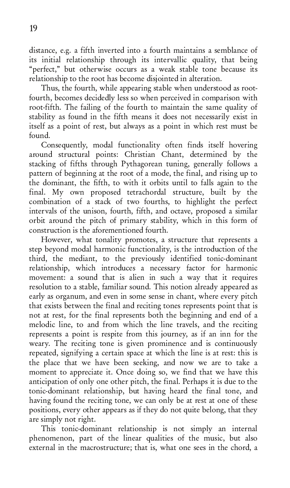distance, e.g. a fifth inverted into a fourth maintains a semblance of its initial relationship through its intervallic quality, that being "perfect," but otherwise occurs as a weak stable tone because its relationship to the root has become disjointed in alteration.

Thus, the fourth, while appearing stable when understood as rootfourth, becomes decidedly less so when perceived in comparison with root-fifth. The failing of the fourth to maintain the same quality of stability as found in the fifth means it does not necessarily exist in itself as a point of rest, but always as a point in which rest must be found.

Consequently, modal functionality often finds itself hovering around structural points: Christian Chant, determined by the stacking of fifths through Pythagorean tuning, generally follows a pattern of beginning at the root of a mode, the final, and rising up to the dominant, the fifth, to with it orbits until to falls again to the final. My own proposed tetrachordal structure, built by the combination of a stack of two fourths, to highlight the perfect intervals of the unison, fourth, fifth, and octave, proposed a similar orbit around the pitch of primary stability, which in this form of construction is the aforementioned fourth.

However, what tonality promotes, a structure that represents a step beyond modal harmonic functionality, is the introduction of the third, the mediant, to the previously identified tonic-dominant relationship, which introduces a necessary factor for harmonic movement: a sound that is alien in such a way that it requires resolution to a stable, familiar sound. This notion already appeared as early as organum, and even in some sense in chant, where every pitch that exists between the final and reciting tones represents point that is not at rest, for the final represents both the beginning and end of a melodic line, to and from which the line travels, and the reciting represents a point is respite from this journey, as if an inn for the weary. The reciting tone is given prominence and is continuously repeated, signifying a certain space at which the line is at rest: this is the place that we have been seeking, and now we are to take a moment to appreciate it. Once doing so, we find that we have this anticipation of only one other pitch, the final. Perhaps it is due to the tonic-dominant relationship, but having heard the final tone, and having found the reciting tone, we can only be at rest at one of these positions, every other appears as if they do not quite belong, that they are simply not right.

This tonic-dominant relationship is not simply an internal phenomenon, part of the linear qualities of the music, but also external in the macrostructure; that is, what one sees in the chord, a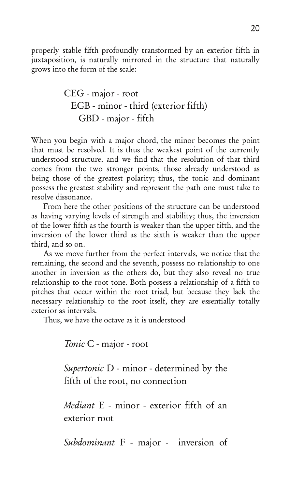properly stable fifth profoundly transformed by an exterior fifth in juxtaposition, is naturally mirrored in the structure that naturally grows into the form of the scale:

 ;/8=@ @==B ;7<=@ B67@2 3FB3@7=@ 474B6 ;/8=@ 474B6

When you begin with a major chord, the minor becomes the point that must be resolved. It is thus the weakest point of the currently understood structure, and we find that the resolution of that third comes from the two stronger points, those already understood as being those of the greatest polarity; thus, the tonic and dominant possess the greatest stability and represent the path one must take to resolve dissonance.

From here the other positions of the structure can be understood as having varying levels of strength and stability; thus, the inversion of the lower fifth as the fourth is weaker than the upper fifth, and the inversion of the lower third as the sixth is weaker than the upper third, and so on.

As we move further from the perfect intervals, we notice that the remaining, the second and the seventh, possess no relationship to one another in inversion as the others do, but they also reveal no true relationship to the root tone. Both possess a relationship of a fifth to pitches that occur within the root triad, but because they lack the necessary relationship to the root itself, they are essentially totally exterior as intervals.

Thus, we have the octave as it is understood

Tonic C - major - root

 $\textit{Supertonic}$  D - minor - determined by the fifth of the root, no connection

*Mediant* E - minor - exterior fifth of an exterior root

*Subdominant* F - major - inversion of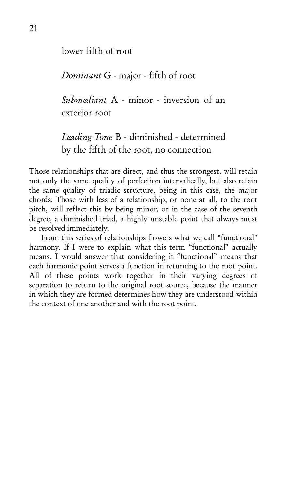lower fifth of root

Dominant G - major - fifth of root

Submediant A - minor - inversion of an exterior root

Leading Tone B - diminished - determined by the fifth of the root, no connection

Those relationships that are direct, and thus the strongest, will retain not only the same quality of perfection intervalically, but also retain the same quality of triadic structure, being in this case, the major chords. Those with less of a relationship, or none at all, to the root pitch, will reflect this by being minor, or in the case of the seventh degree, a diminished triad, a highly unstable point that always must be resolved immediately.

From this series of relationships flowers what we call "functional" harmony. If I were to explain what this term "functional" actually means, I would answer that considering it "functional" means that each harmonic point serves a function in returning to the root point. All of these points work together in their varying degrees of separation to return to the original root source, because the manner in which they are formed determines how they are understood within the context of one another and with the root point.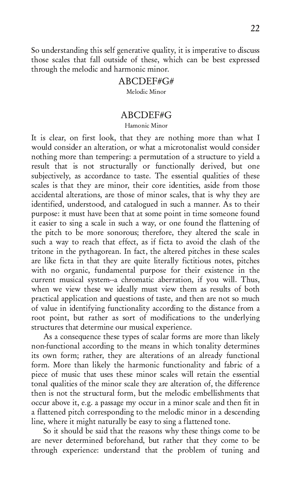So understanding this self generative quality, it is imperative to discuss those scales that fall outside of these, which can be best expressed through the melodic and harmonic minor.

## ABCDEF#G#

Melodic Minor

## ABCDEF#G

Hamonic Minor

It is clear, on first look, that they are nothing more than what I would consider an alteration, or what a microtonalist would consider nothing more than tempering: a permutation of a structure to yield a result that is not structurally or functionally derived, but one subjectively, as accordance to taste. The essential qualities of these scales is that they are minor, their core identities, aside from those accidental alterations, are those of minor scales, that is why they are identified, understood, and catalogued in such a manner. As to their purpose: it must have been that at some point in time someone found it easier to sing a scale in such a way, or one found the flattening of the pitch to be more sonorous; therefore, they altered the scale in such a way to reach that effect, as if ficta to avoid the clash of the tritone in the pythagorean. In fact, the altered pitches in these scales are like ficta in that they are quite literally fictitious notes, pitches with no organic, fundamental purpose for their existence in the current musical system--a chromatic aberration, if you will. Thus, when we view these we ideally must view them as results of both practical application and questions of taste, and then are not so much of value in identifying functionality according to the distance from a root point, but rather as sort of modifications to the underlying structures that determine our musical experience.

As a consequence these types of scalar forms are more than likely non-functional according to the means in which tonality determines its own form; rather, they are alterations of an already functional form. More than likely the harmonic functionality and fabric of a piece of music that uses these minor scales will retain the essential tonal qualities of the minor scale they are alteration of, the difference then is not the structural form, but the melodic embellishments that occur above it, e.g. a passage my occur in a minor scale and then fit in a flattened pitch corresponding to the melodic minor in a descending line, where it might naturally be easy to sing a flattened tone.

So it should be said that the reasons why these things come to be are never determined beforehand, but rather that they come to be through experience: understand that the problem of tuning and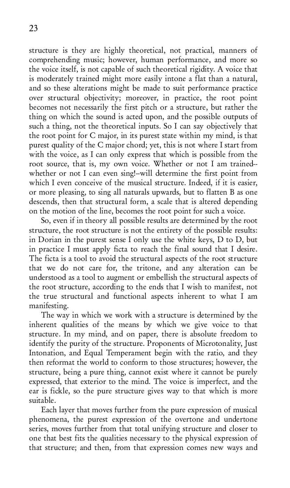structure is they are highly theoretical, not practical, manners of comprehending music; however, human performance, and more so the voice itself, is not capable of such theoretical rigidity. A voice that is moderately trained might more easily intone a flat than a natural, and so these alterations might be made to suit performance practice over structural objectivity; moreover, in practice, the root point becomes not necessarily the first pitch or a structure, but rather the thing on which the sound is acted upon, and the possible outputs of such a thing, not the theoretical inputs. So I can say objectively that the root point for C major, in its purest state within my mind, is that purest quality of the C major chord; yet, this is not where I start from with the voice, as I can only express that which is possible from the root source, that is, my own voice. Whether or not I am trainedwhether or not I can even sing!--will determine the first point from which I even conceive of the musical structure. Indeed, if it is easier, or more pleasing, to sing all naturals upwards, but to flatten B as one descends, then that structural form, a scale that is altered depending on the motion of the line, becomes the root point for such a voice.

So, even if in theory all possible results are determined by the root structure, the root structure is not the entirety of the possible results: in Dorian in the purest sense I only use the white keys,  $D$  to  $D$ , but in practice I must apply ficta to reach the final sound that I desire. The ficta is a tool to avoid the structural aspects of the root structure that we do not care for, the tritone, and any alteration can be understood as a tool to augment or embellish the structural aspects of the root structure, according to the ends that I wish to manifest, not the true structural and functional aspects inherent to what I am manifesting.

The way in which we work with a structure is determined by the inherent qualities of the means by which we give voice to that structure. In my mind, and on paper, there is absolute freedom to identify the purity of the structure. Proponents of Microtonality, Just Intonation, and Equal Temperament begin with the ratio, and they then reformat the world to conform to those structures: however, the structure, being a pure thing, cannot exist where it cannot be purely expressed, that exterior to the mind. The voice is imperfect, and the ear is fickle, so the pure structure gives way to that which is more suitable.

Each layer that moves further from the pure expression of musical phenomena, the purest expression of the overtone and undertone series, moves further from that total unifying structure and closer to one that best fits the qualities necessary to the physical expression of that structure; and then, from that expression comes new ways and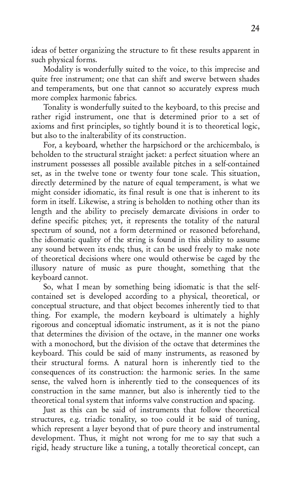ideas of better organizing the structure to fit these results apparent in such physical forms.

Modality is wonderfully suited to the voice, to this imprecise and quite free instrument; one that can shift and swerve between shades and temperaments, but one that cannot so accurately express much more complex harmonic fabrics.

Tonality is wonderfully suited to the keyboard, to this precise and rather rigid instrument, one that is determined prior to a set of axioms and first principles, so tightly bound it is to theoretical logic, but also to the inalterability of its construction.

For, a keyboard, whether the harpsichord or the archicembalo, is beholden to the structural straight jacket: a perfect situation where an instrument possesses all possible available pitches in a self-contained set, as in the twelve tone or twenty four tone scale. This situation, directly determined by the nature of equal temperament, is what we might consider idiomatic, its final result is one that is inherent to its form in itself. Likewise, a string is beholden to nothing other than its length and the ability to precisely demarcate divisions in order to define specific pitches; yet, it represents the totality of the natural spectrum of sound, not a form determined or reasoned beforehand, the idiomatic quality of the string is found in this ability to assume any sound between its ends; thus, it can be used freely to make note of theoretical decisions where one would otherwise be caged by the illusory nature of music as pure thought, something that the kevboard cannot.

So, what I mean by something being idiomatic is that the selfcontained set is developed according to a physical, theoretical, or conceptual structure, and that object becomes inherently tied to that thing. For example, the modern keyboard is ultimately a highly rigorous and conceptual idiomatic instrument, as it is not the piano that determines the division of the octave, in the manner one works with a monochord, but the division of the octave that determines the keyboard. This could be said of many instruments, as reasoned by their structural forms. A natural horn is inherently tied to the consequences of its construction: the harmonic series. In the same sense, the valved horn is inherently tied to the consequences of its construction in the same manner, but also is inherently tied to the theoretical tonal system that informs valve construction and spacing.

Just as this can be said of instruments that follow theoretical structures, e.g. triadic tonality, so too could it be said of tuning, which represent a layer beyond that of pure theory and instrumental development. Thus, it might not wrong for me to say that such a rigid, heady structure like a tuning, a totally theoretical concept, can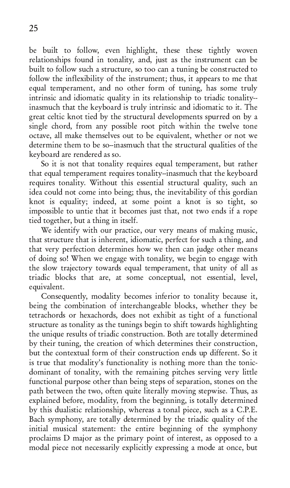be built to follow, even highlight, these these tightly woven relationships found in tonality, and, just as the instrument can be built to follow such a structure, so too can a tuning be constructed to follow the inflexibility of the instrument; thus, it appears to me that equal temperament, and no other form of tuning, has some truly intrinsic and idiomatic quality in its relationship to triadic tonality-inasmuch that the keyboard is truly intrinsic and idiomatic to it. The great celtic knot tied by the structural developments spurred on by a single chord, from any possible root pitch within the twelve tone octave, all make themselves out to be equivalent, whether or not we determine them to be so-inasmuch that the structural qualities of the keyboard are rendered as so.

So it is not that tonality requires equal temperament, but rather that equal temperament requires tonality--inasmuch that the keyboard requires tonality. Without this essential structural quality, such an idea could not come into being; thus, the inevitability of this gordian knot is equality; indeed, at some point a knot is so tight, so impossible to untie that it becomes just that, not two ends if a rope tied together, but a thing in itself.

We identify with our practice, our very means of making music, that structure that is inherent, idiomatic, perfect for such a thing, and that very perfection determines how we then can judge other means of doing so! When we engage with tonality, we begin to engage with the slow trajectory towards equal temperament, that unity of all as triadic blocks that are, at some conceptual, not essential, level, equivalent.

Consequently, modality becomes inferior to tonality because it, being the combination of interchangeable blocks, whether they be tetrachords or hexachords, does not exhibit as tight of a functional structure as tonality as the tunings begin to shift towards highlighting the unique results of triadic construction. Both are totally determined by their tuning, the creation of which determines their construction, but the contextual form of their construction ends up different. So it is true that modality's functionality is nothing more than the tonicdominant of tonality, with the remaining pitches serving very little functional purpose other than being steps of separation, stones on the path between the two, often quite literally moving stepwise. Thus, as explained before, modality, from the beginning, is totally determined by this dualistic relationship, whereas a tonal piece, such as a C.P.E. Bach symphony, are totally determined by the triadic quality of the initial musical statement: the entire beginning of the symphony proclaims D major as the primary point of interest, as opposed to a modal piece not necessarily explicitly expressing a mode at once, but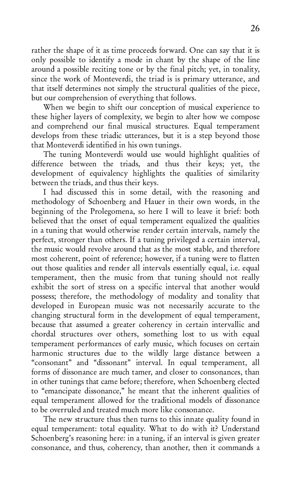rather the shape of it as time proceeds forward. One can say that it is only possible to identify a mode in chant by the shape of the line around a possible reciting tone or by the final pitch; yet, in tonality, since the work of Monteverdi, the triad is is primary utterance, and that itself determines not simply the structural qualities of the piece, but our comprehension of everything that follows.

When we begin to shift our conception of musical experience to these higher layers of complexity, we begin to alter how we compose and comprehend our final musical structures. Equal temperament develops from these triadic utterances, but it is a step beyond those that Monteverdi identified in his own tunings.

The tuning Monteverdi would use would highlight qualities of difference between the triads, and thus their keys; yet, the development of equivalency highlights the qualities of similarity between the triads, and thus their keys.

I had discussed this in some detail, with the reasoning and methodology of Schoenberg and Hauer in their own words, in the beginning of the Prolegomena, so here I will to leave it brief: both believed that the onset of equal temperament equalized the qualities in a tuning that would otherwise render certain intervals, namely the perfect, stronger than others. If a tuning privileged a certain interval, the music would revolve around that as the most stable, and therefore most coherent, point of reference; however, if a tuning were to flatten out those qualities and render all intervals essentially equal, *i.e.* equal temperament, then the music from that tuning should not really exhibit the sort of stress on a specific interval that another would possess; therefore, the methodology of modality and tonality that developed in European music was not necessarily accurate to the changing structural form in the development of equal temperament, because that assumed a greater coherency in certain intervallic and chordal structures over others, something lost to us with equal temperament performances of early music, which focuses on certain harmonic structures due to the wildly large distance between a "consonant" and "dissonant" interval. In equal temperament, all forms of dissonance are much tamer, and closer to consonances, than in other tunings that came before; therefore, when Schoenberg elected to "emancipate dissonance," he meant that the inherent qualities of equal temperament allowed for the traditional models of dissonance to be overruled and treated much more like consonance.

The new structure thus then turns to this innate quality found in equal temperament: total equality. What to do with it? Understand Schoenberg's reasoning here: in a tuning, if an interval is given greater consonance, and thus, coherency, than another, then it commands a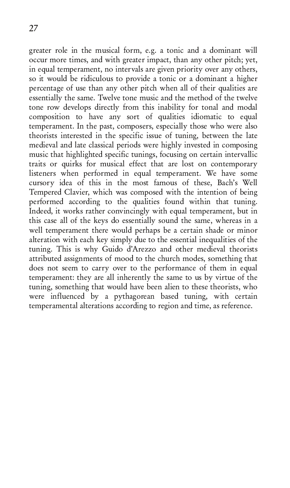greater role in the musical form, e.g. a tonic and a dominant will occur more times, and with greater impact, than any other pitch; yet, in equal temperament, no intervals are given priority over any others, so it would be ridiculous to provide a tonic or a dominant a higher percentage of use than any other pitch when all of their qualities are essentially the same. Twelve tone music and the method of the twelve tone row develops directly from this inability for tonal and modal composition to have any sort of qualities idiomatic to equal temperament. In the past, composers, especially those who were also theorists interested in the specific issue of tuning, between the late medieval and late classical periods were highly invested in composing music that highlighted specific tunings, focusing on certain intervallic traits or quirks for musical effect that are lost on contemporary listeners when performed in equal temperament. We have some cursory idea of this in the most famous of these, Bach's Well Tempered Clavier, which was composed with the intention of being performed according to the qualities found within that tuning. Indeed, it works rather convincingly with equal temperament, but in this case all of the keys do essentially sound the same, whereas in a well temperament there would perhaps be a certain shade or minor alteration with each key simply due to the essential inequalities of the tuning. This is why Guido d'Arezzo and other medieval theorists attributed assignments of mood to the church modes, something that does not seem to carry over to the performance of them in equal temperament: they are all inherently the same to us by virtue of the tuning, something that would have been alien to these theorists, who were influenced by a pythagorean based tuning, with certain temperamental alterations according to region and time, as reference.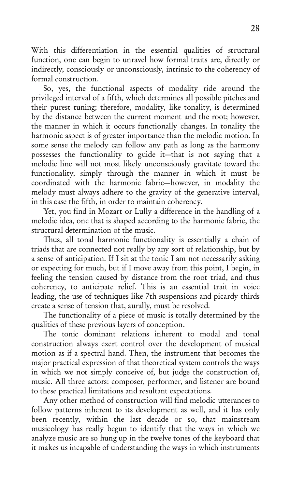With this differentiation in the essential qualities of structural function, one can begin to unravel how formal traits are, directly or indirectly, consciously or unconsciously, intrinsic to the coherency of formal construction.

So, yes, the functional aspects of modality ride around the privileged interval of a fifth, which determines all possible pitches and their purest tuning; therefore, modality, like tonality, is determined by the distance between the current moment and the root; however, the manner in which it occurs functionally changes. In tonality the harmonic aspect is of greater importance than the melodic motion. In some sense the melody can follow any path as long as the harmony possesses the functionality to guide it-that is not saying that a melodic line will not most likely unconsciously gravitate toward the functionality, simply through the manner in which it must be coordinated with the harmonic fabric-however, in modality the melody must always adhere to the gravity of the generative interval, in this case the fifth, in order to maintain coherency.

Yet, you find in Mozart or Lully a difference in the handling of a melodic idea, one that is shaped according to the harmonic fabric, the structural determination of the music.

Thus, all tonal harmonic functionality is essentially a chain of triads that are connected not really by any sort of relationship, but by a sense of anticipation. If I sit at the tonic I am not necessarily asking or expecting for much, but if I move away from this point, I begin, in feeling the tension caused by distance from the root triad, and thus coherency, to anticipate relief. This is an essential trait in voice leading, the use of techniques like 7th suspensions and picardy thirds create a sense of tension that, aurally, must be resolved.

The functionality of a piece of music is totally determined by the qualities of these previous layers of conception.

The tonic dominant relations inherent to modal and tonal construction always exert control over the development of musical motion as if a spectral hand. Then, the instrument that becomes the major practical expression of that theoretical system controls the ways in which we not simply conceive of, but judge the construction of, music. All three actors: composer, performer, and listener are bound to these practical limitations and resultant expectations.

Any other method of construction will find melodic utterances to follow patterns inherent to its development as well, and it has only been recently, within the last decade or so, that mainstream musicology has really begun to identify that the ways in which we analyze music are so hung up in the twelve tones of the keyboard that it makes us incapable of understanding the ways in which instruments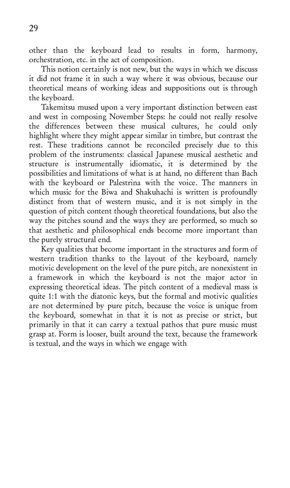other than the keyboard lead to results in form, harmony, orchestration, etc. in the act of composition.

This notion certainly is not new, but the ways in which we discuss it did not frame it in such a way where it was obvious, because our theoretical means of working ideas and suppositions out is through the kevboard.

Takemitsu mused upon a very important distinction between east and west in composing November Steps: he could not really resolve the differences between these musical cultures, he could only highlight where they might appear similar in timbre, but contrast the rest. These traditions cannot be reconciled precisely due to this problem of the instruments: classical Japanese musical aesthetic and structure is instrumentally idiomatic, it is determined by the possibilities and limitations of what is at hand, no different than Bach with the keyboard or Palestrina with the voice. The manners in which music for the Biwa and Shakuhachi is written is profoundly distinct from that of western music, and it is not simply in the question of pitch content though theoretical foundations, but also the way the pitches sound and the ways they are performed, so much so that aesthetic and philosophical ends become more important than the purely structural end.

Key qualities that become important in the structures and form of western tradition thanks to the layout of the keyboard, namely motivic development on the level of the pure pitch, are nonexistent in a framework in which the keyboard is not the major actor in expressing theoretical ideas. The pitch content of a medieval mass is quite 1:1 with the diatonic keys, but the formal and motivic qualities are not determined by pure pitch, because the voice is unique from the keyboard, somewhat in that it is not as precise or strict, but primarily in that it can carry a textual pathos that pure music must grasp at. Form is looser, built around the text, because the framework is textual, and the ways in which we engage with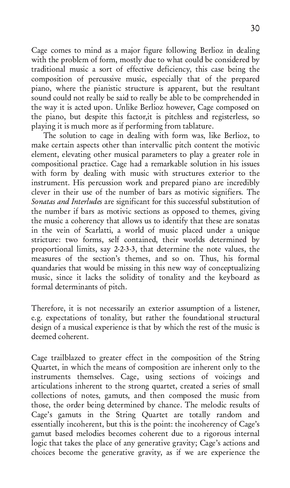Cage comes to mind as a major figure following Berlioz in dealing with the problem of form, mostly due to what could be considered by traditional music a sort of effective deficiency, this case being the composition of percussive music, especially that of the prepared piano, where the pianistic structure is apparent, but the resultant sound could not really be said to really be able to be comprehended in the way it is acted upon. Unlike Berlioz however, Cage composed on the piano, but despite this factor, it is pitchless and registerless, so playing it is much more as if performing from tablature.

The solution to cage in dealing with form was, like Berlioz, to make certain aspects other than intervallic pitch content the motivic element, elevating other musical parameters to play a greater role in compositional practice. Cage had a remarkable solution in his issues with form by dealing with music with structures exterior to the instrument. His percussion work and prepared piano are incredibly clever in their use of the number of bars as motivic signifiers. The So*natas and Interludes* are significant for this successful substitution of the number if bars as motivic sections as opposed to themes, giving the music a coherency that allows us to identify that these are sonatas in the vein of Scarlatti, a world of music placed under a unique stricture: two forms, self contained, their worlds determined by proportional limits, say 2-2-3-3, that determine the note values, the measures of the section's themes, and so on. Thus, his formal quandaries that would be missing in this new way of conceptualizing music, since it lacks the solidity of tonality and the keyboard as formal determinants of pitch.

Therefore, it is not necessarily an exterior assumption of a listener, e.g. expectations of tonality, but rather the foundational structural design of a musical experience is that by which the rest of the music is deemed coherent.

Cage trailblazed to greater effect in the composition of the String Quartet, in which the means of composition are inherent only to the instruments themselves. Cage, using sections of voicings and articulations inherent to the strong quartet, created a series of small collections of notes, gamuts, and then composed the music from those, the order being determined by chance. The melodic results of Cage's gamuts in the String Quartet are totally random and essentially incoherent, but this is the point: the incoherency of Cage's gamut based melodies becomes coherent due to a rigorous internal logic that takes the place of any generative gravity; Cage's actions and choices become the generative gravity, as if we are experience the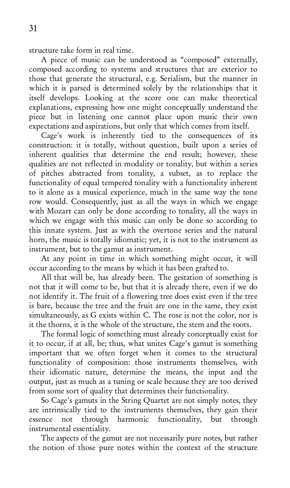structure take form in real time.

A piece of music can be understood as "composed" externally, composed according to systems and structures that are exterior to those that generate the structural, e.g. Serialism, but the manner in which it is parsed is determined solely by the relationships that it itself develops. Looking at the score one can make theoretical explanations, expressing how one might conceptually understand the piece but in listening one cannot place upon music their own expectations and aspirations, but only that which comes from itself.

Cage's work is inherently tied to the consequences of its construction: it is totally, without question, built upon a series of inherent qualities that determine the end result; however, these qualities are not reflected in modality or tonality, but within a series of pitches abstracted from tonality, a subset, as to replace the functionality of equal tempered tonality with a functionality inherent to it alone as a musical experience, much in the same way the tone row would. Consequently, just as all the ways in which we engage with Mozart can only be done according to tonality, all the ways in which we engage with this music can only be done so according to this innate system. Just as with the overtone series and the natural horn, the music is totally idiomatic; yet, it is not to the instrument as instrument, but to the gamut as instrument.

At any point in time in which something might occur, it will occur according to the means by which it has been grafted to.

All that will be, has already been. The gestation of something is not that it will come to be, but that it is already there, even if we do not identify it. The fruit of a flowering tree does exist even if the tree is bare, because the tree and the fruit are one in the same, they exist simultaneously, as G exists within C. The rose is not the color, nor is it the thorns, it is the whole of the structure, the stem and the roots.

The formal logic of something must already conceptually exist for it to occur, if at all, be; thus, what unites Cage's gamut is something important that we often forget when it comes to the structural functionality of composition: those instruments themselves, with their idiomatic nature, determine the means, the input and the output, just as much as a tuning or scale because they are too derived from some sort of quality that determines their functionality.

So Cage's gamuts in the String Quartet are not simply notes, they are intrinsically tied to the instruments themselves, they gain their<br>essence not through harmonic functionality, but through essence not through harmonic functionality, but instrumental essentiality.

The aspects of the gamut are not necessarily pure notes, but rather the notion of those pure notes within the context of the structure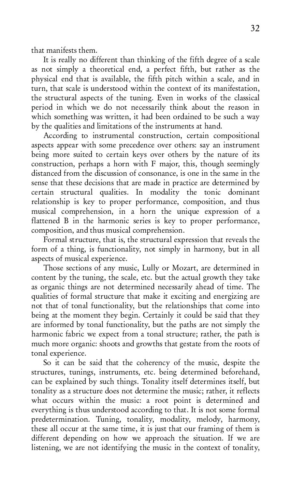that manifests them.

It is really no different than thinking of the fifth degree of a scale as not simply a theoretical end, a perfect fifth, but rather as the physical end that is available, the fifth pitch within a scale, and in turn, that scale is understood within the context of its manifestation, the structural aspects of the tuning. Even in works of the classical period in which we do not necessarily think about the reason in which something was written, it had been ordained to be such a way by the qualities and limitations of the instruments at hand.

According to instrumental construction, certain compositional aspects appear with some precedence over others: say an instrument being more suited to certain keys over others by the nature of its  $1$  construction, perhaps a horn with  $F$  major, this, though seemingly distanced from the discussion of consonance, is one in the same in the sense that these decisions that are made in practice are determined by certain structural qualities. In modality the tonic dominant relationship is key to proper performance, composition, and thus musical comprehension, in a horn the unique expression of a flattened B in the harmonic series is key to proper performance, composition, and thus musical comprehension.

Formal structure, that is, the structural expression that reveals the form of a thing, is functionality, not simply in harmony, but in all aspects of musical experience.

Those sections of any music, Lully or Mozart, are determined in content by the tuning, the scale, etc. but the actual growth they take as organic things are not determined necessarily ahead of time. The qualities of formal structure that make it exciting and energizing are not that of tonal functionality, but the relationships that come into being at the moment they begin. Certainly it could be said that they are informed by tonal functionality, but the paths are not simply the harmonic fabric we expect from a tonal structure; rather, the path is much more organic: shoots and growths that gestate from the roots of tonal experience.

So it can be said that the coherency of the music, despite the structures, tunings, instruments, etc. being determined beforehand, can be explained by such things. Tonality itself determines itself, but tonality as a structure does not determine the music; rather, it reflects what occurs within the music: a root point is determined and everything is thus understood according to that. It is not some formal predetermination. Tuning, tonality, modality, melody, harmony, these all occur at the same time, it is just that our framing of them is different depending on how we approach the situation. If we are listening, we are not identifying the music in the context of tonality,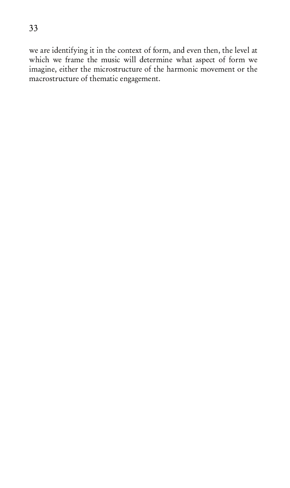we are identifying it in the context of form, and even then, the level at which we frame the music will determine what aspect of form we imagine, either the microstructure of the harmonic movement or the macrostructure of thematic engagement.